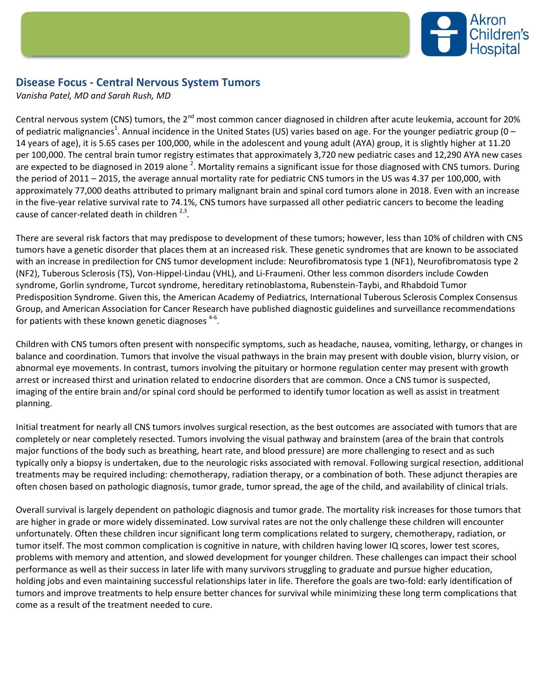

## **Disease Focus - Central Nervous System Tumors**

*Vanisha Patel, MD and Sarah Rush, MD*

Central nervous system (CNS) tumors, the 2<sup>nd</sup> most common cancer diagnosed in children after acute leukemia, account for 20% of pediatric malignancies<sup>1</sup>. Annual incidence in the United States (US) varies based on age. For the younger pediatric group (0 – 14 years of age), it is 5.65 cases per 100,000, while in the adolescent and young adult (AYA) group, it is slightly higher at 11.20 per 100,000. The central brain tumor registry estimates that approximately 3,720 new pediatric cases and 12,290 AYA new cases are expected to be diagnosed in 2019 alone <sup>2</sup>. Mortality remains a significant issue for those diagnosed with CNS tumors. During the period of 2011 – 2015, the average annual mortality rate for pediatric CNS tumors in the US was 4.37 per 100,000, with approximately 77,000 deaths attributed to primary malignant brain and spinal cord tumors alone in 2018. Even with an increase in the five-year relative survival rate to 74.1%, CNS tumors have surpassed all other pediatric cancers to become the leading cause of cancer-related death in children  $2,3$ .

There are several risk factors that may predispose to development of these tumors; however, less than 10% of children with CNS tumors have a genetic disorder that places them at an increased risk. These genetic syndromes that are known to be associated with an increase in predilection for CNS tumor development include: Neurofibromatosis type 1 (NF1), Neurofibromatosis type 2 (NF2), Tuberous Sclerosis (TS), Von-Hippel-Lindau (VHL), and Li-Fraumeni. Other less common disorders include Cowden syndrome, Gorlin syndrome, Turcot syndrome, hereditary retinoblastoma, Rubenstein-Taybi, and Rhabdoid Tumor Predisposition Syndrome. Given this, the American Academy of Pediatrics, International Tuberous Sclerosis Complex Consensus Group, and American Association for Cancer Research have published diagnostic guidelines and surveillance recommendations for patients with these known genetic diagnoses  $4-6$ .

Children with CNS tumors often present with nonspecific symptoms, such as headache, nausea, vomiting, lethargy, or changes in balance and coordination. Tumors that involve the visual pathways in the brain may present with double vision, blurry vision, or abnormal eye movements. In contrast, tumors involving the pituitary or hormone regulation center may present with growth arrest or increased thirst and urination related to endocrine disorders that are common. Once a CNS tumor is suspected, imaging of the entire brain and/or spinal cord should be performed to identify tumor location as well as assist in treatment planning.

Initial treatment for nearly all CNS tumors involves surgical resection, as the best outcomes are associated with tumors that are completely or near completely resected. Tumors involving the visual pathway and brainstem (area of the brain that controls major functions of the body such as breathing, heart rate, and blood pressure) are more challenging to resect and as such typically only a biopsy is undertaken, due to the neurologic risks associated with removal. Following surgical resection, additional treatments may be required including: chemotherapy, radiation therapy, or a combination of both. These adjunct therapies are often chosen based on pathologic diagnosis, tumor grade, tumor spread, the age of the child, and availability of clinical trials.

Overall survival is largely dependent on pathologic diagnosis and tumor grade. The mortality risk increases for those tumors that are higher in grade or more widely disseminated. Low survival rates are not the only challenge these children will encounter unfortunately. Often these children incur significant long term complications related to surgery, chemotherapy, radiation, or tumor itself. The most common complication is cognitive in nature, with children having lower IQ scores, lower test scores, problems with memory and attention, and slowed development for younger children. These challenges can impact their school performance as well as their success in later life with many survivors struggling to graduate and pursue higher education, holding jobs and even maintaining successful relationships later in life. Therefore the goals are two-fold: early identification of tumors and improve treatments to help ensure better chances for survival while minimizing these long term complications that come as a result of the treatment needed to cure.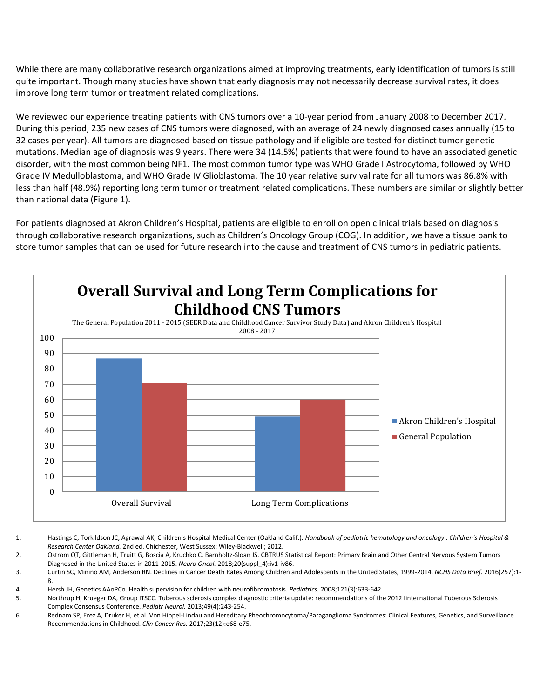While there are many collaborative research organizations aimed at improving treatments, early identification of tumors is still quite important. Though many studies have shown that early diagnosis may not necessarily decrease survival rates, it does improve long term tumor or treatment related complications.

We reviewed our experience treating patients with CNS tumors over a 10-year period from January 2008 to December 2017. During this period, 235 new cases of CNS tumors were diagnosed, with an average of 24 newly diagnosed cases annually (15 to 32 cases per year). All tumors are diagnosed based on tissue pathology and if eligible are tested for distinct tumor genetic mutations. Median age of diagnosis was 9 years. There were 34 (14.5%) patients that were found to have an associated genetic disorder, with the most common being NF1. The most common tumor type was WHO Grade I Astrocytoma, followed by WHO Grade IV Medulloblastoma, and WHO Grade IV Glioblastoma. The 10 year relative survival rate for all tumors was 86.8% with less than half (48.9%) reporting long term tumor or treatment related complications. These numbers are similar or slightly better than national data (Figure 1).

For patients diagnosed at Akron Children's Hospital, patients are eligible to enroll on open clinical trials based on diagnosis through collaborative research organizations, such as Children's Oncology Group (COG). In addition, we have a tissue bank to store tumor samples that can be used for future research into the cause and treatment of CNS tumors in pediatric patients.



1. Hastings C, Torkildson JC, Agrawal AK, Children's Hospital Medical Center (Oakland Calif.). *Handbook of pediatric hematology and oncology : Children's Hospital & Research Center Oakland.* 2nd ed. Chichester, West Sussex: Wiley-Blackwell; 2012.

2. Ostrom QT, Gittleman H, Truitt G, Boscia A, Kruchko C, Barnholtz-Sloan JS. CBTRUS Statistical Report: Primary Brain and Other Central Nervous System Tumors Diagnosed in the United States in 2011-2015. *Neuro Oncol.* 2018;20(suppl\_4):iv1-iv86.

3. Curtin SC, Minino AM, Anderson RN. Declines in Cancer Death Rates Among Children and Adolescents in the United States, 1999-2014. *NCHS Data Brief.* 2016(257):1- 8.

4. Hersh JH, Genetics AAoPCo. Health supervision for children with neurofibromatosis. *Pediatrics.* 2008;121(3):633-642.

5. Northrup H, Krueger DA, Group ITSCC. Tuberous sclerosis complex diagnostic criteria update: recommendations of the 2012 Iinternational Tuberous Sclerosis Complex Consensus Conference. *Pediatr Neurol.* 2013;49(4):243-254.

6. Rednam SP, Erez A, Druker H, et al. Von Hippel-Lindau and Hereditary Pheochromocytoma/Paraganglioma Syndromes: Clinical Features, Genetics, and Surveillance Recommendations in Childhood. *Clin Cancer Res.* 2017;23(12):e68-e75.